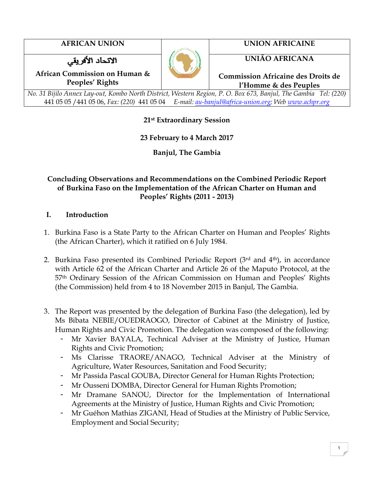الاتحاد الأفريقي

**AFRICAN UNION UNION AFRICAINE**

**UNIÃO AFRICANA**

**African Commission on Human & Peoples' Rights**

**Commission Africaine des Droits de l'Homme & des Peuples**

*No. 31 Bijilo Annex Lay-out, Kombo North District, Western Region, P. O. Box 673, Banjul, The Gambia Tel: (220)*  441 05 05 /441 05 06, *Fax: (220)* 441 05 04 *E-mail: [au-banjul@africa-union.org;](mailto:au-banjul@africa-union.org) Web [www.achpr.org](http://www.achpr.org/)*

# **21st Extraordinary Session**

# **23 February to 4 March 2017**

**Banjul, The Gambia**

## **Concluding Observations and Recommendations on the Combined Periodic Report of Burkina Faso on the Implementation of the African Charter on Human and Peoples' Rights (2011 - 2013)**

# **I. Introduction**

- 1. Burkina Faso is a State Party to the African Charter on Human and Peoples' Rights (the African Charter), which it ratified on 6 July 1984.
- 2. Burkina Faso presented its Combined Periodic Report (3rd and 4th), in accordance with Article 62 of the African Charter and Article 26 of the Maputo Protocol, at the 57th Ordinary Session of the African Commission on Human and Peoples' Rights (the Commission) held from 4 to 18 November 2015 in Banjul, The Gambia.
- 3. The Report was presented by the delegation of Burkina Faso (the delegation), led by Ms Bibata NEBIE/OUEDRAOGO, Director of Cabinet at the Ministry of Justice, Human Rights and Civic Promotion. The delegation was composed of the following:
	- Mr Xavier BAYALA, Technical Adviser at the Ministry of Justice, Human Rights and Civic Promotion;
	- Ms Clarisse TRAORE/ANAGO, Technical Adviser at the Ministry of Agriculture, Water Resources, Sanitation and Food Security;
	- Mr Passida Pascal GOUBA, Director General for Human Rights Protection;
	- Mr Ousseni DOMBA, Director General for Human Rights Promotion;
	- Mr Dramane SANOU, Director for the Implementation of International Agreements at the Ministry of Justice, Human Rights and Civic Promotion;
	- Mr Guéhon Mathias ZIGANI, Head of Studies at the Ministry of Public Service, Employment and Social Security;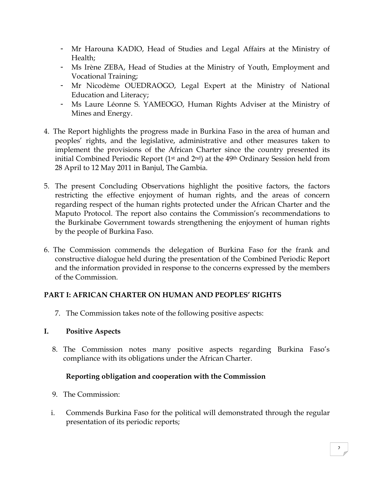- Mr Harouna KADIO, Head of Studies and Legal Affairs at the Ministry of Health;
- Ms Irène ZEBA, Head of Studies at the Ministry of Youth, Employment and Vocational Training;
- Mr Nicodème OUEDRAOGO, Legal Expert at the Ministry of National Education and Literacy;
- Ms Laure Léonne S. YAMEOGO, Human Rights Adviser at the Ministry of Mines and Energy.
- 4. The Report highlights the progress made in Burkina Faso in the area of human and peoples' rights, and the legislative, administrative and other measures taken to implement the provisions of the African Charter since the country presented its initial Combined Periodic Report  $(1<sup>st</sup>$  and  $2<sup>nd</sup>)$  at the 49<sup>th</sup> Ordinary Session held from 28 April to 12 May 2011 in Banjul, The Gambia.
- 5. The present Concluding Observations highlight the positive factors, the factors restricting the effective enjoyment of human rights, and the areas of concern regarding respect of the human rights protected under the African Charter and the Maputo Protocol. The report also contains the Commission's recommendations to the Burkinabe Government towards strengthening the enjoyment of human rights by the people of Burkina Faso.
- 6. The Commission commends the delegation of Burkina Faso for the frank and constructive dialogue held during the presentation of the Combined Periodic Report and the information provided in response to the concerns expressed by the members of the Commission.

## **PART I: AFRICAN CHARTER ON HUMAN AND PEOPLES' RIGHTS**

7. The Commission takes note of the following positive aspects:

# **I. Positive Aspects**

8. The Commission notes many positive aspects regarding Burkina Faso's compliance with its obligations under the African Charter.

# **Reporting obligation and cooperation with the Commission**

- 9. The Commission:
- i. Commends Burkina Faso for the political will demonstrated through the regular presentation of its periodic reports;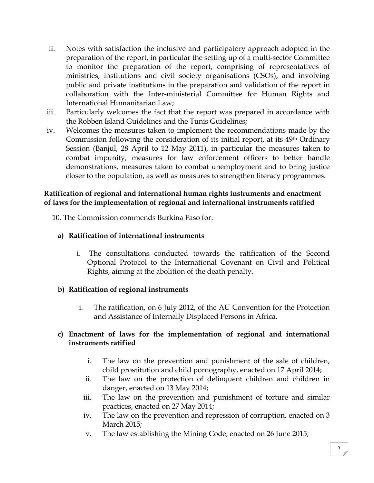- ii. Notes with satisfaction the inclusive and participatory approach adopted in the preparation of the report, in particular the setting up of a multi-sector Committee to monitor the preparation of the report, comprising of representatives of ministries, institutions and civil society organisations (CSOs), and involving public and private institutions in the preparation and validation of the report in collaboration with the Inter-ministerial Committee for Human Rights and International Humanitarian Law;
- iii. Particularly welcomes the fact that the report was prepared in accordance with the Robben Island Guidelines and the Tunis Guidelines;
- iv. Welcomes the measures taken to implement the recommendations made by the Commission following the consideration of its initial report, at its 49th Ordinary Session (Banjul, 28 April to 12 May 2011), in particular the measures taken to combat impunity, measures for law enforcement officers to better handle demonstrations, measures taken to combat unemployment and to bring justice closer to the population, as well as measures to strengthen literacy programmes.

#### **Ratification of regional and international human rights instruments and enactment of laws for the implementation of regional and international instruments ratified**

10. The Commission commends Burkina Faso for:

# **a) Ratification of international instruments**

i. The consultations conducted towards the ratification of the Second Optional Protocol to the International Covenant on Civil and Political Rights, aiming at the abolition of the death penalty.

# **b) Ratification of regional instruments**

i. The ratification, on 6 July 2012, of the AU Convention for the Protection and Assistance of Internally Displaced Persons in Africa.

## **c) Enactment of laws for the implementation of regional and international instruments ratified**

- i. The law on the prevention and punishment of the sale of children, child prostitution and child pornography, enacted on 17 April 2014;
- ii. The law on the protection of delinquent children and children in danger, enacted on 13 May 2014;
- iii. The law on the prevention and punishment of torture and similar practices, enacted on 27 May 2014;
- iv. The law on the prevention and repression of corruption, enacted on 3 March 2015;
- v. The law establishing the Mining Code, enacted on 26 June 2015;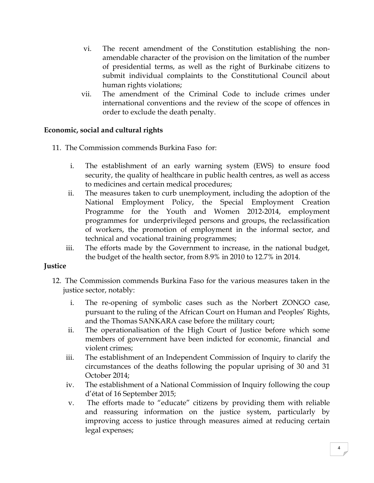- vi. The recent amendment of the Constitution establishing the nonamendable character of the provision on the limitation of the number of presidential terms, as well as the right of Burkinabe citizens to submit individual complaints to the Constitutional Council about human rights violations;
- vii. The amendment of the Criminal Code to include crimes under international conventions and the review of the scope of offences in order to exclude the death penalty.

## **Economic, social and cultural rights**

- 11. The Commission commends Burkina Faso for:
	- i. The establishment of an early warning system (EWS) to ensure food security, the quality of healthcare in public health centres, as well as access to medicines and certain medical procedures;
	- ii. The measures taken to curb unemployment, including the adoption of the National Employment Policy, the Special Employment Creation Programme for the Youth and Women 2012-2014, employment programmes for underprivileged persons and groups, the reclassification of workers, the promotion of employment in the informal sector, and technical and vocational training programmes;
	- iii. The efforts made by the Government to increase, in the national budget, the budget of the health sector, from 8.9% in 2010 to 12.7% in 2014.

#### **Justice**

- 12. The Commission commends Burkina Faso for the various measures taken in the justice sector, notably:
	- i. The re-opening of symbolic cases such as the Norbert ZONGO case, pursuant to the ruling of the African Court on Human and Peoples' Rights, and the Thomas SANKARA case before the military court;
	- ii. The operationalisation of the High Court of Justice before which some members of government have been indicted for economic, financial and violent crimes;
	- iii. The establishment of an Independent Commission of Inquiry to clarify the circumstances of the deaths following the popular uprising of 30 and 31 October 2014;
	- iv. The establishment of a National Commission of Inquiry following the coup d'état of 16 September 2015;
	- v. The efforts made to "educate" citizens by providing them with reliable and reassuring information on the justice system, particularly by improving access to justice through measures aimed at reducing certain legal expenses;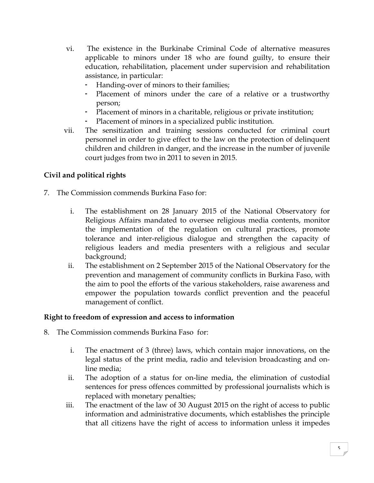- vi. The existence in the Burkinabe Criminal Code of alternative measures applicable to minors under 18 who are found guilty, to ensure their education, rehabilitation, placement under supervision and rehabilitation assistance, in particular:
	- Handing-over of minors to their families;
	- Placement of minors under the care of a relative or a trustworthy person;
	- Placement of minors in a charitable, religious or private institution;
	- Placement of minors in a specialized public institution.
- vii. The sensitization and training sessions conducted for criminal court personnel in order to give effect to the law on the protection of delinquent children and children in danger, and the increase in the number of juvenile court judges from two in 2011 to seven in 2015.

# **Civil and political rights**

- 7. The Commission commends Burkina Faso for:
	- i. The establishment on 28 January 2015 of the National Observatory for Religious Affairs mandated to oversee religious media contents, monitor the implementation of the regulation on cultural practices, promote tolerance and inter-religious dialogue and strengthen the capacity of religious leaders and media presenters with a religious and secular background;
	- ii. The establishment on 2 September 2015 of the National Observatory for the prevention and management of community conflicts in Burkina Faso, with the aim to pool the efforts of the various stakeholders, raise awareness and empower the population towards conflict prevention and the peaceful management of conflict.

#### **Right to freedom of expression and access to information**

- 8. The Commission commends Burkina Faso for:
	- i. The enactment of 3 (three) laws, which contain major innovations, on the legal status of the print media, radio and television broadcasting and online media;
	- ii. The adoption of a status for on-line media, the elimination of custodial sentences for press offences committed by professional journalists which is replaced with monetary penalties;
	- iii. The enactment of the law of 30 August 2015 on the right of access to public information and administrative documents, which establishes the principle that all citizens have the right of access to information unless it impedes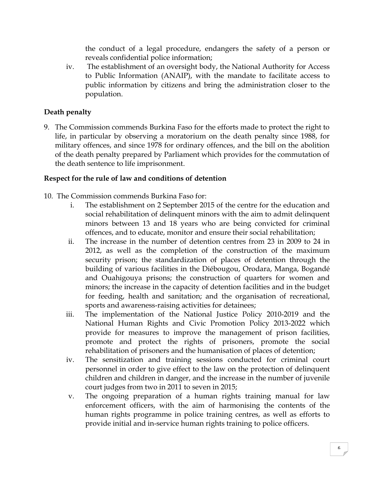the conduct of a legal procedure, endangers the safety of a person or reveals confidential police information;

iv. The establishment of an oversight body, the National Authority for Access to Public Information (ANAIP), with the mandate to facilitate access to public information by citizens and bring the administration closer to the population.

# **Death penalty**

9. The Commission commends Burkina Faso for the efforts made to protect the right to life, in particular by observing a moratorium on the death penalty since 1988, for military offences, and since 1978 for ordinary offences, and the bill on the abolition of the death penalty prepared by Parliament which provides for the commutation of the death sentence to life imprisonment.

## **Respect for the rule of law and conditions of detention**

10. The Commission commends Burkina Faso for:

- i. The establishment on 2 September 2015 of the centre for the education and social rehabilitation of delinquent minors with the aim to admit delinquent minors between 13 and 18 years who are being convicted for criminal offences, and to educate, monitor and ensure their social rehabilitation;
- ii. The increase in the number of detention centres from 23 in 2009 to 24 in 2012, as well as the completion of the construction of the maximum security prison; the standardization of places of detention through the building of various facilities in the Diébougou, Orodara, Manga, Bogandé and Ouahigouya prisons; the construction of quarters for women and minors; the increase in the capacity of detention facilities and in the budget for feeding, health and sanitation; and the organisation of recreational, sports and awareness-raising activities for detainees;
- iii. The implementation of the National Justice Policy 2010-2019 and the National Human Rights and Civic Promotion Policy 2013-2022 which provide for measures to improve the management of prison facilities, promote and protect the rights of prisoners, promote the social rehabilitation of prisoners and the humanisation of places of detention;
- iv. The sensitization and training sessions conducted for criminal court personnel in order to give effect to the law on the protection of delinquent children and children in danger, and the increase in the number of juvenile court judges from two in 2011 to seven in 2015;
- v. The ongoing preparation of a human rights training manual for law enforcement officers, with the aim of harmonising the contents of the human rights programme in police training centres, as well as efforts to provide initial and in-service human rights training to police officers.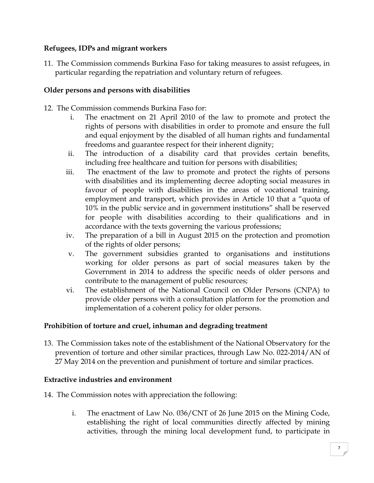#### **Refugees, IDPs and migrant workers**

11. The Commission commends Burkina Faso for taking measures to assist refugees, in particular regarding the repatriation and voluntary return of refugees.

#### **Older persons and persons with disabilities**

- 12. The Commission commends Burkina Faso for:
	- i. The enactment on 21 April 2010 of the law to promote and protect the rights of persons with disabilities in order to promote and ensure the full and equal enjoyment by the disabled of all human rights and fundamental freedoms and guarantee respect for their inherent dignity;
	- ii. The introduction of a disability card that provides certain benefits, including free healthcare and tuition for persons with disabilities;
	- iii. The enactment of the law to promote and protect the rights of persons with disabilities and its implementing decree adopting social measures in favour of people with disabilities in the areas of vocational training, employment and transport, which provides in Article 10 that a "quota of 10% in the public service and in government institutions" shall be reserved for people with disabilities according to their qualifications and in accordance with the texts governing the various professions;
	- iv. The preparation of a bill in August 2015 on the protection and promotion of the rights of older persons;
	- v. The government subsidies granted to organisations and institutions working for older persons as part of social measures taken by the Government in 2014 to address the specific needs of older persons and contribute to the management of public resources;
	- vi. The establishment of the National Council on Older Persons (CNPA) to provide older persons with a consultation platform for the promotion and implementation of a coherent policy for older persons.

#### **Prohibition of torture and cruel, inhuman and degrading treatment**

13. The Commission takes note of the establishment of the National Observatory for the prevention of torture and other similar practices, through Law No. 022-2014/AN of 27 May 2014 on the prevention and punishment of torture and similar practices.

#### **Extractive industries and environment**

- 14. The Commission notes with appreciation the following:
	- i. The enactment of Law No. 036/CNT of 26 June 2015 on the Mining Code, establishing the right of local communities directly affected by mining activities, through the mining local development fund, to participate in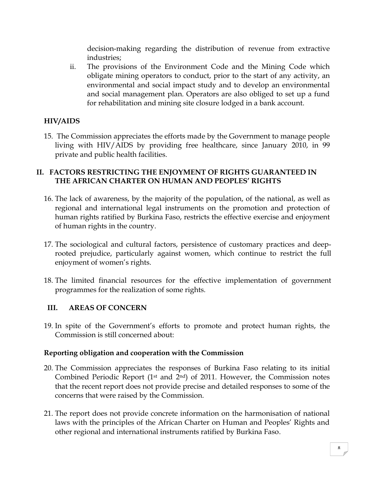decision-making regarding the distribution of revenue from extractive industries;

ii. The provisions of the Environment Code and the Mining Code which obligate mining operators to conduct, prior to the start of any activity, an environmental and social impact study and to develop an environmental and social management plan. Operators are also obliged to set up a fund for rehabilitation and mining site closure lodged in a bank account.

# **HIV/AIDS**

15. The Commission appreciates the efforts made by the Government to manage people living with HIV/AIDS by providing free healthcare, since January 2010, in 99 private and public health facilities.

## **II. FACTORS RESTRICTING THE ENJOYMENT OF RIGHTS GUARANTEED IN THE AFRICAN CHARTER ON HUMAN AND PEOPLES' RIGHTS**

- 16. The lack of awareness, by the majority of the population, of the national, as well as regional and international legal instruments on the promotion and protection of human rights ratified by Burkina Faso, restricts the effective exercise and enjoyment of human rights in the country.
- 17. The sociological and cultural factors, persistence of customary practices and deeprooted prejudice, particularly against women, which continue to restrict the full enjoyment of women's rights.
- 18. The limited financial resources for the effective implementation of government programmes for the realization of some rights.

# **III. AREAS OF CONCERN**

19. In spite of the Government's efforts to promote and protect human rights, the Commission is still concerned about:

## **Reporting obligation and cooperation with the Commission**

- 20. The Commission appreciates the responses of Burkina Faso relating to its initial Combined Periodic Report (1<sup>st</sup> and  $2<sup>nd</sup>$ ) of 2011. However, the Commission notes that the recent report does not provide precise and detailed responses to some of the concerns that were raised by the Commission.
- 21. The report does not provide concrete information on the harmonisation of national laws with the principles of the African Charter on Human and Peoples' Rights and other regional and international instruments ratified by Burkina Faso.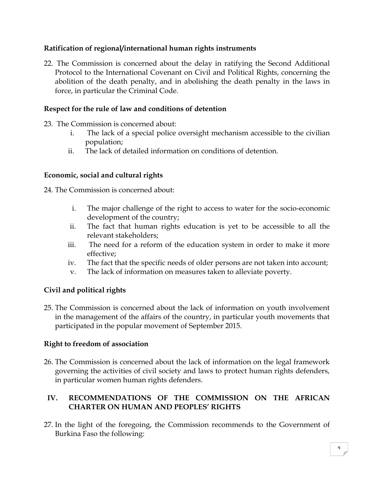## **Ratification of regional/international human rights instruments**

22. The Commission is concerned about the delay in ratifying the Second Additional Protocol to the International Covenant on Civil and Political Rights, concerning the abolition of the death penalty, and in abolishing the death penalty in the laws in force, in particular the Criminal Code.

## **Respect for the rule of law and conditions of detention**

- 23. The Commission is concerned about:
	- i. The lack of a special police oversight mechanism accessible to the civilian population;
	- ii. The lack of detailed information on conditions of detention.

#### **Economic, social and cultural rights**

24. The Commission is concerned about:

- i. The major challenge of the right to access to water for the socio-economic development of the country;
- ii. The fact that human rights education is yet to be accessible to all the relevant stakeholders;
- iii. The need for a reform of the education system in order to make it more effective;
- iv. The fact that the specific needs of older persons are not taken into account;
- v. The lack of information on measures taken to alleviate poverty.

## **Civil and political rights**

25. The Commission is concerned about the lack of information on youth involvement in the management of the affairs of the country, in particular youth movements that participated in the popular movement of September 2015.

## **Right to freedom of association**

26. The Commission is concerned about the lack of information on the legal framework governing the activities of civil society and laws to protect human rights defenders, in particular women human rights defenders.

# **IV. RECOMMENDATIONS OF THE COMMISSION ON THE AFRICAN CHARTER ON HUMAN AND PEOPLES' RIGHTS**

27. In the light of the foregoing, the Commission recommends to the Government of Burkina Faso the following: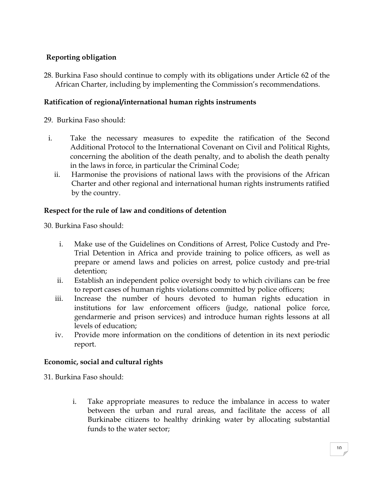# **Reporting obligation**

28. Burkina Faso should continue to comply with its obligations under Article 62 of the African Charter, including by implementing the Commission's recommendations.

#### **Ratification of regional/international human rights instruments**

29. Burkina Faso should:

- i. Take the necessary measures to expedite the ratification of the Second Additional Protocol to the International Covenant on Civil and Political Rights, concerning the abolition of the death penalty, and to abolish the death penalty in the laws in force, in particular the Criminal Code;
	- ii. Harmonise the provisions of national laws with the provisions of the African Charter and other regional and international human rights instruments ratified by the country.

#### **Respect for the rule of law and conditions of detention**

30. Burkina Faso should:

- i. Make use of the Guidelines on Conditions of Arrest, Police Custody and Pre-Trial Detention in Africa and provide training to police officers, as well as prepare or amend laws and policies on arrest, police custody and pre-trial detention;
- ii. Establish an independent police oversight body to which civilians can be free to report cases of human rights violations committed by police officers;
- iii. Increase the number of hours devoted to human rights education in institutions for law enforcement officers (judge, national police force, gendarmerie and prison services) and introduce human rights lessons at all levels of education;
- iv. Provide more information on the conditions of detention in its next periodic report.

## **Economic, social and cultural rights**

31. Burkina Faso should:

i. Take appropriate measures to reduce the imbalance in access to water between the urban and rural areas, and facilitate the access of all Burkinabe citizens to healthy drinking water by allocating substantial funds to the water sector;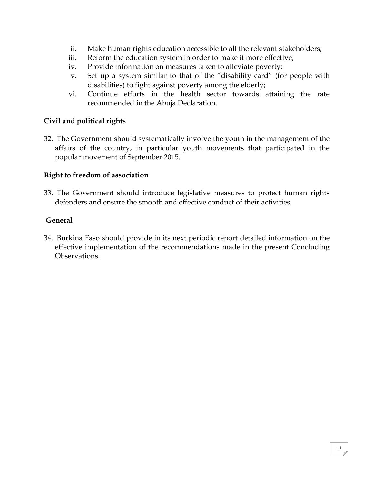- ii. Make human rights education accessible to all the relevant stakeholders;
- iii. Reform the education system in order to make it more effective;
- iv. Provide information on measures taken to alleviate poverty;
- v. Set up a system similar to that of the "disability card" (for people with disabilities) to fight against poverty among the elderly;
- vi. Continue efforts in the health sector towards attaining the rate recommended in the Abuja Declaration.

#### **Civil and political rights**

32. The Government should systematically involve the youth in the management of the affairs of the country, in particular youth movements that participated in the popular movement of September 2015.

#### **Right to freedom of association**

33. The Government should introduce legislative measures to protect human rights defenders and ensure the smooth and effective conduct of their activities.

#### **General**

34. Burkina Faso should provide in its next periodic report detailed information on the effective implementation of the recommendations made in the present Concluding Observations.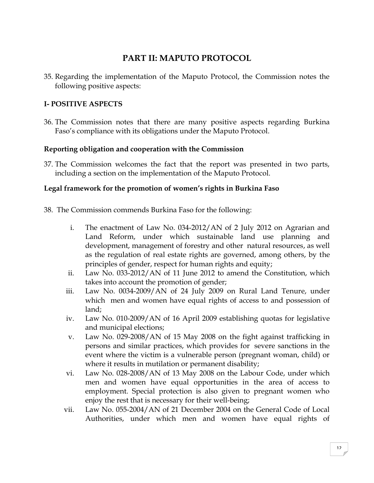# **PART II: MAPUTO PROTOCOL**

35. Regarding the implementation of the Maputo Protocol, the Commission notes the following positive aspects:

## **I- POSITIVE ASPECTS**

36. The Commission notes that there are many positive aspects regarding Burkina Faso's compliance with its obligations under the Maputo Protocol.

## **Reporting obligation and cooperation with the Commission**

37. The Commission welcomes the fact that the report was presented in two parts, including a section on the implementation of the Maputo Protocol.

## **Legal framework for the promotion of women's rights in Burkina Faso**

- 38. The Commission commends Burkina Faso for the following:
	- i. The enactment of Law No. 034-2012/AN of 2 July 2012 on Agrarian and Land Reform, under which sustainable land use planning and development, management of forestry and other natural resources, as well as the regulation of real estate rights are governed, among others, by the principles of gender, respect for human rights and equity;
	- ii. Law No. 033-2012/AN of 11 June 2012 to amend the Constitution, which takes into account the promotion of gender;
	- iii. Law No. 0034-2009/AN of 24 July 2009 on Rural Land Tenure, under which men and women have equal rights of access to and possession of land;
	- iv. Law No. 010-2009/AN of 16 April 2009 establishing quotas for legislative and municipal elections;
	- v. Law No. 029-2008/AN of 15 May 2008 on the fight against trafficking in persons and similar practices, which provides for severe sanctions in the event where the victim is a vulnerable person (pregnant woman, child) or where it results in mutilation or permanent disability;
	- vi. Law No. 028-2008/AN of 13 May 2008 on the Labour Code, under which men and women have equal opportunities in the area of access to employment. Special protection is also given to pregnant women who enjoy the rest that is necessary for their well-being;
	- vii. Law No. 055-2004/AN of 21 December 2004 on the General Code of Local Authorities, under which men and women have equal rights of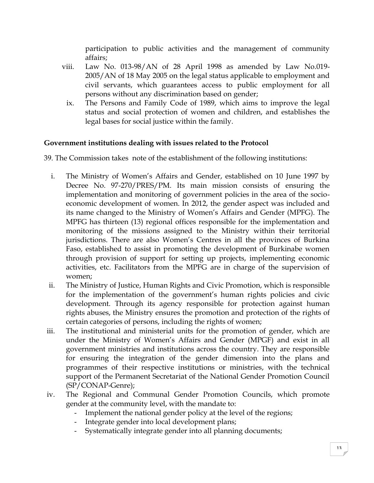participation to public activities and the management of community affairs;

- viii. Law No. 013-98/AN of 28 April 1998 as amended by Law No.019- 2005/AN of 18 May 2005 on the legal status applicable to employment and civil servants, which guarantees access to public employment for all persons without any discrimination based on gender;
	- ix. The Persons and Family Code of 1989, which aims to improve the legal status and social protection of women and children, and establishes the legal bases for social justice within the family.

## **Government institutions dealing with issues related to the Protocol**

39. The Commission takes note of the establishment of the following institutions:

- i. The Ministry of Women's Affairs and Gender, established on 10 June 1997 by Decree No. 97-270/PRES/PM. Its main mission consists of ensuring the implementation and monitoring of government policies in the area of the socioeconomic development of women. In 2012, the gender aspect was included and its name changed to the Ministry of Women's Affairs and Gender (MPFG). The MPFG has thirteen (13) regional offices responsible for the implementation and monitoring of the missions assigned to the Ministry within their territorial jurisdictions. There are also Women's Centres in all the provinces of Burkina Faso, established to assist in promoting the development of Burkinabe women through provision of support for setting up projects, implementing economic activities, etc. Facilitators from the MPFG are in charge of the supervision of women;
- ii. The Ministry of Justice, Human Rights and Civic Promotion, which is responsible for the implementation of the government's human rights policies and civic development. Through its agency responsible for protection against human rights abuses, the Ministry ensures the promotion and protection of the rights of certain categories of persons, including the rights of women;
- iii. The institutional and ministerial units for the promotion of gender, which are under the Ministry of Women's Affairs and Gender (MPGF) and exist in all government ministries and institutions across the country. They are responsible for ensuring the integration of the gender dimension into the plans and programmes of their respective institutions or ministries, with the technical support of the Permanent Secretariat of the National Gender Promotion Council (SP/CONAP-Genre);
- iv. The Regional and Communal Gender Promotion Councils, which promote gender at the community level, with the mandate to:
	- Implement the national gender policy at the level of the regions;
	- Integrate gender into local development plans;
	- Systematically integrate gender into all planning documents;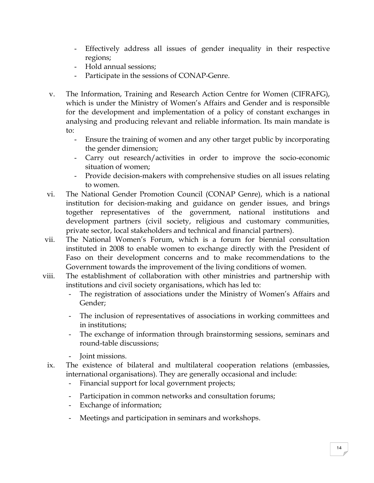- Effectively address all issues of gender inequality in their respective regions;
- Hold annual sessions;
- Participate in the sessions of CONAP-Genre.
- v. The Information, Training and Research Action Centre for Women (CIFRAFG), which is under the Ministry of Women's Affairs and Gender and is responsible for the development and implementation of a policy of constant exchanges in analysing and producing relevant and reliable information. Its main mandate is to:
	- Ensure the training of women and any other target public by incorporating the gender dimension;
	- Carry out research/activities in order to improve the socio-economic situation of women;
	- Provide decision-makers with comprehensive studies on all issues relating to women.
- vi. The National Gender Promotion Council (CONAP Genre), which is a national institution for decision-making and guidance on gender issues, and brings together representatives of the government, national institutions and development partners (civil society, religious and customary communities, private sector, local stakeholders and technical and financial partners).
- vii. The National Women's Forum, which is a forum for biennial consultation instituted in 2008 to enable women to exchange directly with the President of Faso on their development concerns and to make recommendations to the Government towards the improvement of the living conditions of women.
- viii. The establishment of collaboration with other ministries and partnership with institutions and civil society organisations, which has led to:
	- The registration of associations under the Ministry of Women's Affairs and Gender;
	- The inclusion of representatives of associations in working committees and in institutions;
	- The exchange of information through brainstorming sessions, seminars and round-table discussions;
	- Joint missions.
	- ix. The existence of bilateral and multilateral cooperation relations (embassies, international organisations). They are generally occasional and include:
		- Financial support for local government projects;
		- Participation in common networks and consultation forums;
		- Exchange of information;
		- Meetings and participation in seminars and workshops.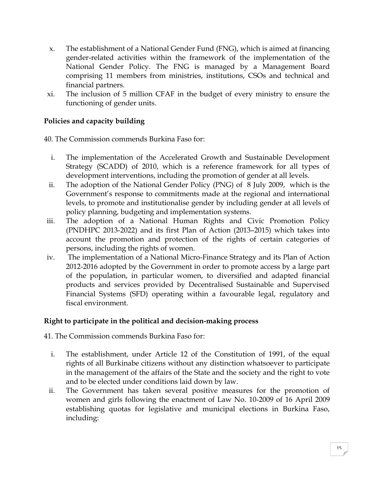- x. The establishment of a National Gender Fund (FNG), which is aimed at financing gender-related activities within the framework of the implementation of the National Gender Policy. The FNG is managed by a Management Board comprising 11 members from ministries, institutions, CSOs and technical and financial partners.
- xi. The inclusion of 5 million CFAF in the budget of every ministry to ensure the functioning of gender units.

# **Policies and capacity building**

40. The Commission commends Burkina Faso for:

- i. The implementation of the Accelerated Growth and Sustainable Development Strategy (SCADD) of 2010, which is a reference framework for all types of development interventions, including the promotion of gender at all levels.
- ii. The adoption of the National Gender Policy (PNG) of 8 July 2009, which is the Government's response to commitments made at the regional and international levels, to promote and institutionalise gender by including gender at all levels of policy planning, budgeting and implementation systems.
- iii. The adoption of a National Human Rights and Civic Promotion Policy (PNDHPC 2013-2022) and its first Plan of Action (2013–2015) which takes into account the promotion and protection of the rights of certain categories of persons, including the rights of women.
- iv. The implementation of a National Micro-Finance Strategy and its Plan of Action 2012-2016 adopted by the Government in order to promote access by a large part of the population, in particular women, to diversified and adapted financial products and services provided by Decentralised Sustainable and Supervised Financial Systems (SFD) operating within a favourable legal, regulatory and fiscal environment.

## **Right to participate in the political and decision-making process**

41. The Commission commends Burkina Faso for:

- i. The establishment, under Article 12 of the Constitution of 1991, of the equal rights of all Burkinabe citizens without any distinction whatsoever to participate in the management of the affairs of the State and the society and the right to vote and to be elected under conditions laid down by law.
- ii. The Government has taken several positive measures for the promotion of women and girls following the enactment of Law No. 10-2009 of 16 April 2009 establishing quotas for legislative and municipal elections in Burkina Faso, including: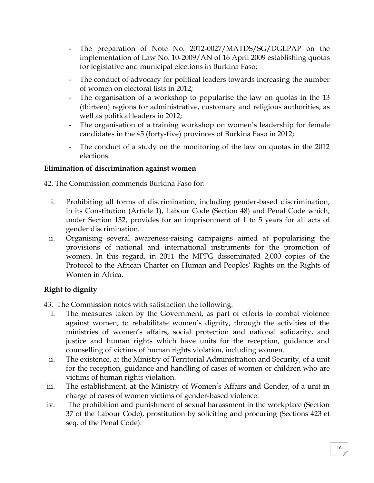- The preparation of Note No. 2012-0027/MATDS/SG/DGLPAP on the implementation of Law No. 10-2009/AN of 16 April 2009 establishing quotas for legislative and municipal elections in Burkina Faso;
- The conduct of advocacy for political leaders towards increasing the number of women on electoral lists in 2012;
- The organisation of a workshop to popularise the law on quotas in the 13 (thirteen) regions for administrative, customary and religious authorities, as well as political leaders in 2012;
- The organisation of a training workshop on women's leadership for female candidates in the 45 (forty-five) provinces of Burkina Faso in 2012;
- The conduct of a study on the monitoring of the law on quotas in the 2012 elections.

## **Elimination of discrimination against women**

42. The Commission commends Burkina Faso for:

- i. Prohibiting all forms of discrimination, including gender-based discrimination, in its Constitution (Article 1), Labour Code (Section 48) and Penal Code which, under Section 132, provides for an imprisonment of 1 to 5 years for all acts of gender discrimination.
- ii. Organising several awareness-raising campaigns aimed at popularising the provisions of national and international instruments for the promotion of women. In this regard, in 2011 the MPFG disseminated 2,000 copies of the Protocol to the African Charter on Human and Peoples' Rights on the Rights of Women in Africa.

# **Right to dignity**

43. The Commission notes with satisfaction the following:

- i. The measures taken by the Government, as part of efforts to combat violence against women, to rehabilitate women's dignity, through the activities of the ministries of women's affairs, social protection and national solidarity, and justice and human rights which have units for the reception, guidance and counselling of victims of human rights violation, including women.
- ii. The existence, at the Ministry of Territorial Administration and Security, of a unit for the reception, guidance and handling of cases of women or children who are victims of human rights violation.
- iii. The establishment, at the Ministry of Women's Affairs and Gender, of a unit in charge of cases of women victims of gender-based violence.
- iv. The prohibition and punishment of sexual harassment in the workplace (Section 37 of the Labour Code), prostitution by soliciting and procuring (Sections 423 et seq. of the Penal Code).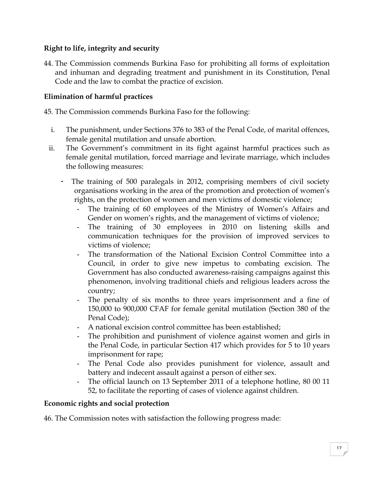## **Right to life, integrity and security**

44. The Commission commends Burkina Faso for prohibiting all forms of exploitation and inhuman and degrading treatment and punishment in its Constitution, Penal Code and the law to combat the practice of excision.

## **Elimination of harmful practices**

45. The Commission commends Burkina Faso for the following:

- i. The punishment, under Sections 376 to 383 of the Penal Code, of marital offences, female genital mutilation and unsafe abortion.
- ii. The Government's commitment in its fight against harmful practices such as female genital mutilation, forced marriage and levirate marriage, which includes the following measures:
	- The training of 500 paralegals in 2012, comprising members of civil society organisations working in the area of the promotion and protection of women's rights, on the protection of women and men victims of domestic violence;
		- The training of 60 employees of the Ministry of Women's Affairs and Gender on women's rights, and the management of victims of violence;
		- The training of 30 employees in 2010 on listening skills and communication techniques for the provision of improved services to victims of violence;
		- The transformation of the National Excision Control Committee into a Council, in order to give new impetus to combating excision. The Government has also conducted awareness-raising campaigns against this phenomenon, involving traditional chiefs and religious leaders across the country;
		- The penalty of six months to three years imprisonment and a fine of 150,000 to 900,000 CFAF for female genital mutilation (Section 380 of the Penal Code);
		- A national excision control committee has been established;
		- The prohibition and punishment of violence against women and girls in the Penal Code, in particular Section 417 which provides for 5 to 10 years imprisonment for rape;
		- The Penal Code also provides punishment for violence, assault and battery and indecent assault against a person of either sex.
		- The official launch on 13 September 2011 of a telephone hotline, 80 00 11 52, to facilitate the reporting of cases of violence against children.

## **Economic rights and social protection**

46. The Commission notes with satisfaction the following progress made: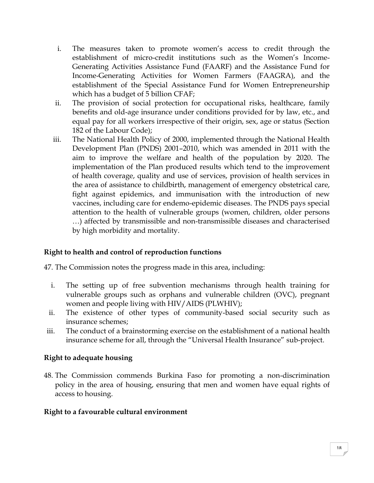- i. The measures taken to promote women's access to credit through the establishment of micro-credit institutions such as the Women's Income-Generating Activities Assistance Fund (FAARF) and the Assistance Fund for Income-Generating Activities for Women Farmers (FAAGRA), and the establishment of the Special Assistance Fund for Women Entrepreneurship which has a budget of 5 billion CFAF;
- ii. The provision of social protection for occupational risks, healthcare, family benefits and old-age insurance under conditions provided for by law, etc., and equal pay for all workers irrespective of their origin, sex, age or status (Section 182 of the Labour Code);
- iii. The National Health Policy of 2000, implemented through the National Health Development Plan (PNDS) 2001–2010, which was amended in 2011 with the aim to improve the welfare and health of the population by 2020. The implementation of the Plan produced results which tend to the improvement of health coverage, quality and use of services, provision of health services in the area of assistance to childbirth, management of emergency obstetrical care, fight against epidemics, and immunisation with the introduction of new vaccines, including care for endemo-epidemic diseases. The PNDS pays special attention to the health of vulnerable groups (women, children, older persons …) affected by transmissible and non-transmissible diseases and characterised by high morbidity and mortality.

## **Right to health and control of reproduction functions**

47. The Commission notes the progress made in this area, including:

- i. The setting up of free subvention mechanisms through health training for vulnerable groups such as orphans and vulnerable children (OVC), pregnant women and people living with HIV/AIDS (PLWHIV);
- ii. The existence of other types of community-based social security such as insurance schemes;
- iii. The conduct of a brainstorming exercise on the establishment of a national health insurance scheme for all, through the "Universal Health Insurance" sub-project.

#### **Right to adequate housing**

48. The Commission commends Burkina Faso for promoting a non-discrimination policy in the area of housing, ensuring that men and women have equal rights of access to housing.

#### **Right to a favourable cultural environment**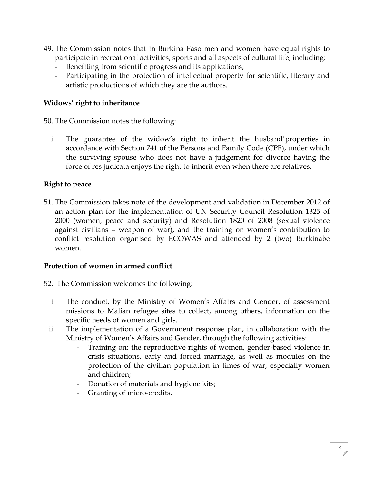- 49. The Commission notes that in Burkina Faso men and women have equal rights to participate in recreational activities, sports and all aspects of cultural life, including:
	- Benefiting from scientific progress and its applications;
	- Participating in the protection of intellectual property for scientific, literary and artistic productions of which they are the authors.

#### **Widows' right to inheritance**

50. The Commission notes the following:

i. The guarantee of the widow's right to inherit the husband'properties in accordance with Section 741 of the Persons and Family Code (CPF), under which the surviving spouse who does not have a judgement for divorce having the force of res judicata enjoys the right to inherit even when there are relatives.

#### **Right to peace**

51. The Commission takes note of the development and validation in December 2012 of an action plan for the implementation of UN Security Council Resolution 1325 of 2000 (women, peace and security) and Resolution 1820 of 2008 (sexual violence against civilians – weapon of war), and the training on women's contribution to conflict resolution organised by ECOWAS and attended by 2 (two) Burkinabe women.

#### **Protection of women in armed conflict**

- 52. The Commission welcomes the following:
	- i. The conduct, by the Ministry of Women's Affairs and Gender, of assessment missions to Malian refugee sites to collect, among others, information on the specific needs of women and girls.
	- ii. The implementation of a Government response plan, in collaboration with the Ministry of Women's Affairs and Gender, through the following activities:
		- Training on: the reproductive rights of women, gender-based violence in crisis situations, early and forced marriage, as well as modules on the protection of the civilian population in times of war, especially women and children;
		- Donation of materials and hygiene kits;
		- Granting of micro-credits.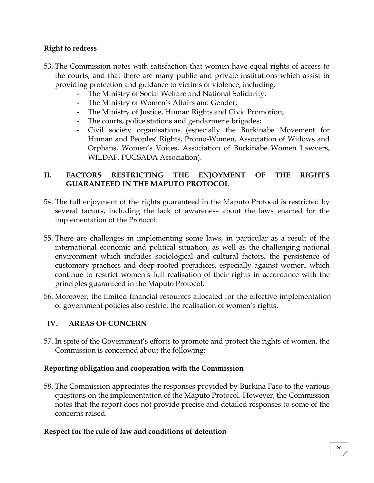## **Right to redress**

- 53. The Commission notes with satisfaction that women have equal rights of access to the courts, and that there are many public and private institutions which assist in providing protection and guidance to victims of violence, including:
	- The Ministry of Social Welfare and National Solidarity;
	- The Ministry of Women's Affairs and Gender;
	- The Ministry of Justice, Human Rights and Civic Promotion;
	- The courts, police stations and gendarmerie brigades;
	- Civil society organisations (especially the Burkinabe Movement for Human and Peoples' Rights, Promo-Women, Association of Widows and Orphans, Women's Voices, Association of Burkinabe Women Lawyers, WILDAF, PUGSADA Association).

## **II. FACTORS RESTRICTING THE ENJOYMENT OF THE RIGHTS GUARANTEED IN THE MAPUTO PROTOCOL**

- 54. The full enjoyment of the rights guaranteed in the Maputo Protocol is restricted by several factors, including the lack of awareness about the laws enacted for the implementation of the Protocol.
- 55. There are challenges in implementing some laws, in particular as a result of the international economic and political situation, as well as the challenging national environment which includes sociological and cultural factors, the persistence of customary practices and deep-rooted prejudices, especially against women, which continue to restrict women's full realisation of their rights in accordance with the principles guaranteed in the Maputo Protocol.
- 56. Moreover, the limited financial resources allocated for the effective implementation of government policies also restrict the realisation of women's rights.

## **IV. AREAS OF CONCERN**

57. In spite of the Government's efforts to promote and protect the rights of women, the Commission is concerned about the following:

#### **Reporting obligation and cooperation with the Commission**

58. The Commission appreciates the responses provided by Burkina Faso to the various questions on the implementation of the Maputo Protocol. However, the Commission notes that the report does not provide precise and detailed responses to some of the concerns raised.

#### **Respect for the rule of law and conditions of detention**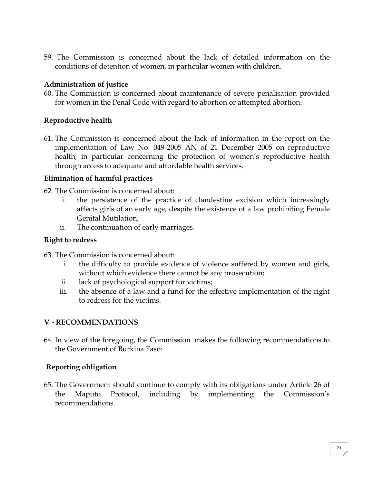59. The Commission is concerned about the lack of detailed information on the conditions of detention of women, in particular women with children.

#### **Administration of justice**

60. The Commission is concerned about maintenance of severe penalisation provided for women in the Penal Code with regard to abortion or attempted abortion.

#### **Reproductive health**

61. The Commission is concerned about the lack of information in the report on the implementation of Law No. 049-2005 AN of 21 December 2005 on reproductive health, in particular concerning the protection of women's reproductive health through access to adequate and affordable health services.

#### **Elimination of harmful practices**

- 62. The Commission is concerned about:
	- i. the persistence of the practice of clandestine excision which increasingly affects girls of an early age, despite the existence of a law prohibiting Female Genital Mutilation;
	- ii. The continuation of early marriages.

#### **Right to redress**

- 63. The Commission is concerned about:
	- i. the difficulty to provide evidence of violence suffered by women and girls, without which evidence there cannot be any prosecution;
	- ii. lack of psychological support for victims;
	- iii. the absence of a law and a fund for the effective implementation of the right to redress for the victims.

## **V - RECOMMENDATIONS**

64. In view of the foregoing, the Commission makes the following recommendations to the Government of Burkina Faso:

## **Reporting obligation**

65. The Government should continue to comply with its obligations under Article 26 of the Maputo Protocol, including by implementing the Commission's recommendations.